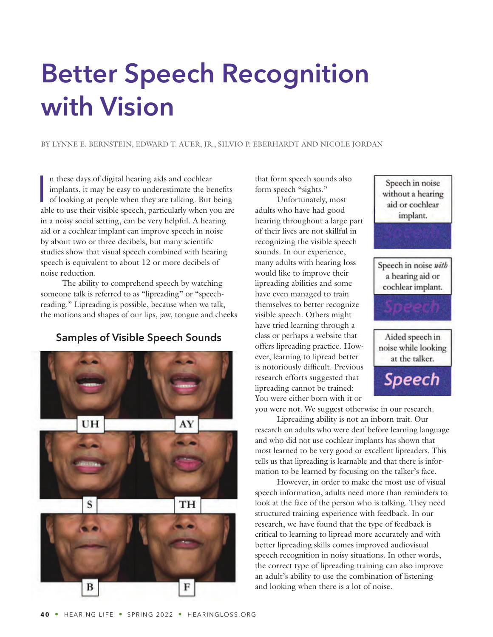## **Better Speech Recognition with Vision**

BY LYNNE E. BERNSTEIN, EDWARD T. AUER, JR., SILVIO P. EBERHARDT AND NICOLE JORDAN

In these days of digital hearing aids and cochlear<br>implants, it may be easy to underestimate the benefits<br>of looking at people when they are talking. But being<br>able to use their visible speech, particularly when you are n these days of digital hearing aids and cochlear implants, it may be easy to underestimate the benefits of looking at people when they are talking. But being in a noisy social setting, can be very helpful. A hearing aid or a cochlear implant can improve speech in noise by about two or three decibels, but many scientific studies show that visual speech combined with hearing speech is equivalent to about 12 or more decibels of noise reduction.

The ability to comprehend speech by watching someone talk is referred to as "lipreading" or "speechreading." Lipreading is possible, because when we talk, the motions and shapes of our lips, jaw, tongue and cheeks

## **Samples of Visible Speech Sounds**



that form speech sounds also form speech "sights."

Unfortunately, most adults who have had good hearing throughout a large part of their lives are not skillful in recognizing the visible speech sounds. In our experience, many adults with hearing loss would like to improve their lipreading abilities and some have even managed to train themselves to better recognize visible speech. Others might have tried learning through a class or perhaps a website that offers lipreading practice. However, learning to lipread better is notoriously difficult. Previous research efforts suggested that lipreading cannot be trained: You were either born with it or



you were not. We suggest otherwise in our research.

Lipreading ability is not an inborn trait. Our research on adults who were deaf before learning language and who did not use cochlear implants has shown that most learned to be very good or excellent lipreaders. This tells us that lipreading is learnable and that there is information to be learned by focusing on the talker's face.

However, in order to make the most use of visual speech information, adults need more than reminders to look at the face of the person who is talking. They need structured training experience with feedback. In our research, we have found that the type of feedback is critical to learning to lipread more accurately and with better lipreading skills comes improved audiovisual speech recognition in noisy situations. In other words, the correct type of lipreading training can also improve an adult's ability to use the combination of listening and looking when there is a lot of noise.